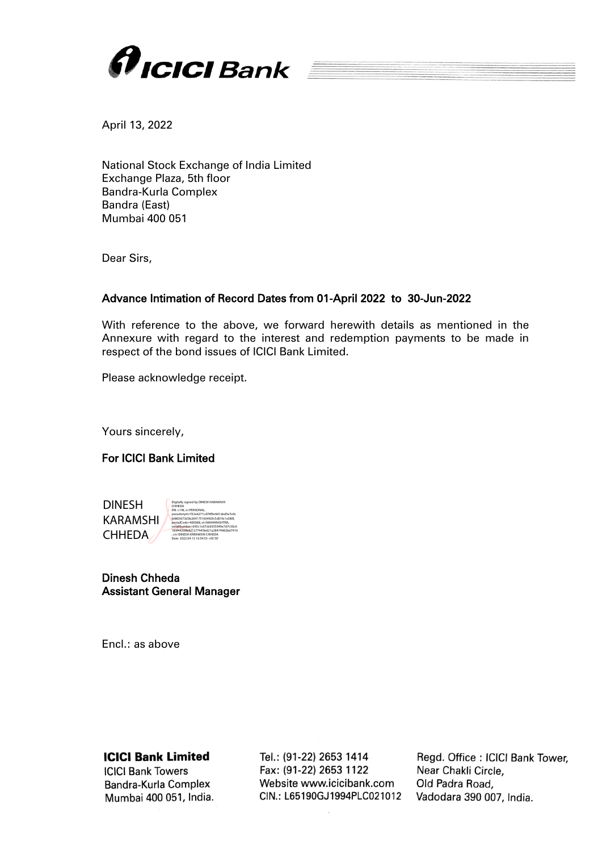

April 13, 2022

National Stock Exchange of India Limited Exchange Plaza, 5th floor Bandra-Kurla Complex Bandra (East) Mumbai 400 051

Dear Sirs,

## Advance Intimation of Record Dates from 01-April 2022 to 30-Jun-2022

With reference to the above, we forward herewith details as mentioned in the Annexure with regard to the interest and redemption payments to be made in respect of the bond issues of ICICI Bank Limited.

Please acknowledge receipt.

Yours sincerely,

# For ICICI Bank Limited

| <b>DINESH</b><br><b>KARAMSHI</b><br><b>CHHEDA</b> | Digitally signed by DINESH KARAMSHI<br>CHHEDA<br>DN: c=IN. o=PERSONAL.<br>pseudonym=f32e6271cd78f9e9d1ded5e7e4c<br>b0803673d3b264175166492fc5d01fe1c680f.<br>postalCode=400068.st=MAHARASHTRA.<br>serialNumber=695c1c67cb0355049e7d7c50c6<br>189644200b821277445bd21a28474982bd7416<br>. cn=DINESH KARAMSHI CHHEDA |
|---------------------------------------------------|--------------------------------------------------------------------------------------------------------------------------------------------------------------------------------------------------------------------------------------------------------------------------------------------------------------------|
|                                                   | Date: 2022 04 13 16:54:53 +05'30'                                                                                                                                                                                                                                                                                  |

| Dinesh Chheda |  |
|---------------|--|
|               |  |

Assistant General Manager

Encl.: as above

# **ICICI Bank Limited**

**ICICI Bank Towers** Bandra-Kurla Complex Mumbai 400 051, India. Tel.: (91-22) 2653 1414 Fax: (91-22) 2653 1122 Website www.icicibank.com CIN.: L65190GJ1994PLC021012 Regd. Office: ICICI Bank Tower. Near Chakli Circle. Old Padra Road, Vadodara 390 007, India.